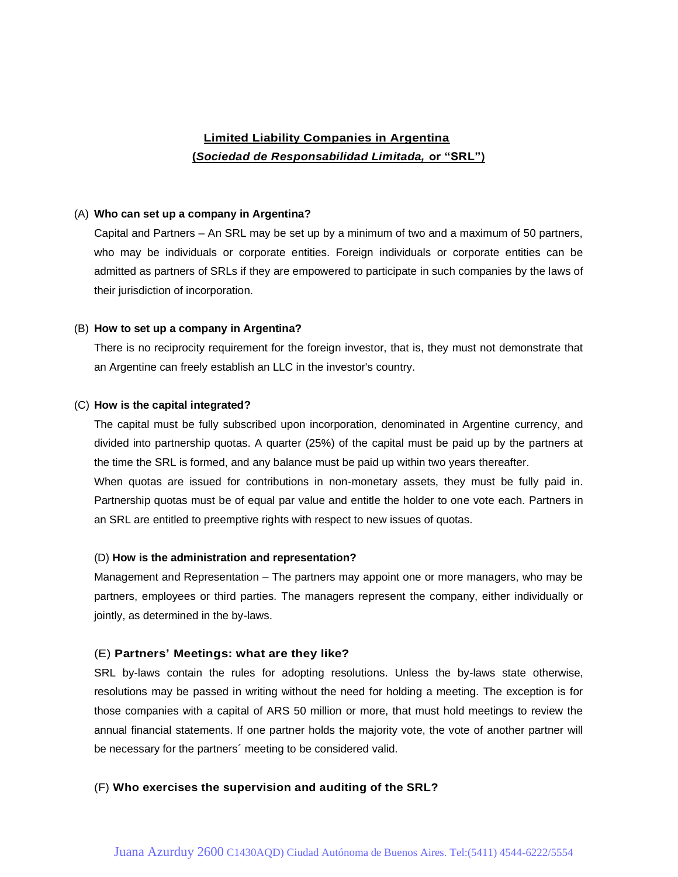# **Limited Liability Companies in Argentina (***Sociedad de Responsabilidad Limitada,* **or "SRL")**

#### (A) **Who can set up a company in Argentina?**

Capital and Partners – An SRL may be set up by a minimum of two and a maximum of 50 partners, who may be individuals or corporate entities. Foreign individuals or corporate entities can be admitted as partners of SRLs if they are empowered to participate in such companies by the laws of their jurisdiction of incorporation.

## (B) **How to set up a company in Argentina?**

There is no reciprocity requirement for the foreign investor, that is, they must not demonstrate that an Argentine can freely establish an LLC in the investor's country.

## (C) **How is the capital integrated?**

The capital must be fully subscribed upon incorporation, denominated in Argentine currency, and divided into partnership quotas. A quarter (25%) of the capital must be paid up by the partners at the time the SRL is formed, and any balance must be paid up within two years thereafter. When quotas are issued for contributions in non-monetary assets, they must be fully paid in. Partnership quotas must be of equal par value and entitle the holder to one vote each. Partners in

#### (D) **How is the administration and representation?**

an SRL are entitled to preemptive rights with respect to new issues of quotas.

Management and Representation – The partners may appoint one or more managers, who may be partners, employees or third parties. The managers represent the company, either individually or jointly, as determined in the by-laws.

## (E) **Partners' Meetings: what are they like?**

SRL by-laws contain the rules for adopting resolutions. Unless the by-laws state otherwise, resolutions may be passed in writing without the need for holding a meeting. The exception is for those companies with a capital of ARS 50 million or more, that must hold meetings to review the annual financial statements. If one partner holds the majority vote, the vote of another partner will be necessary for the partners´ meeting to be considered valid.

## (F) **Who exercises the supervision and auditing of the SRL?**